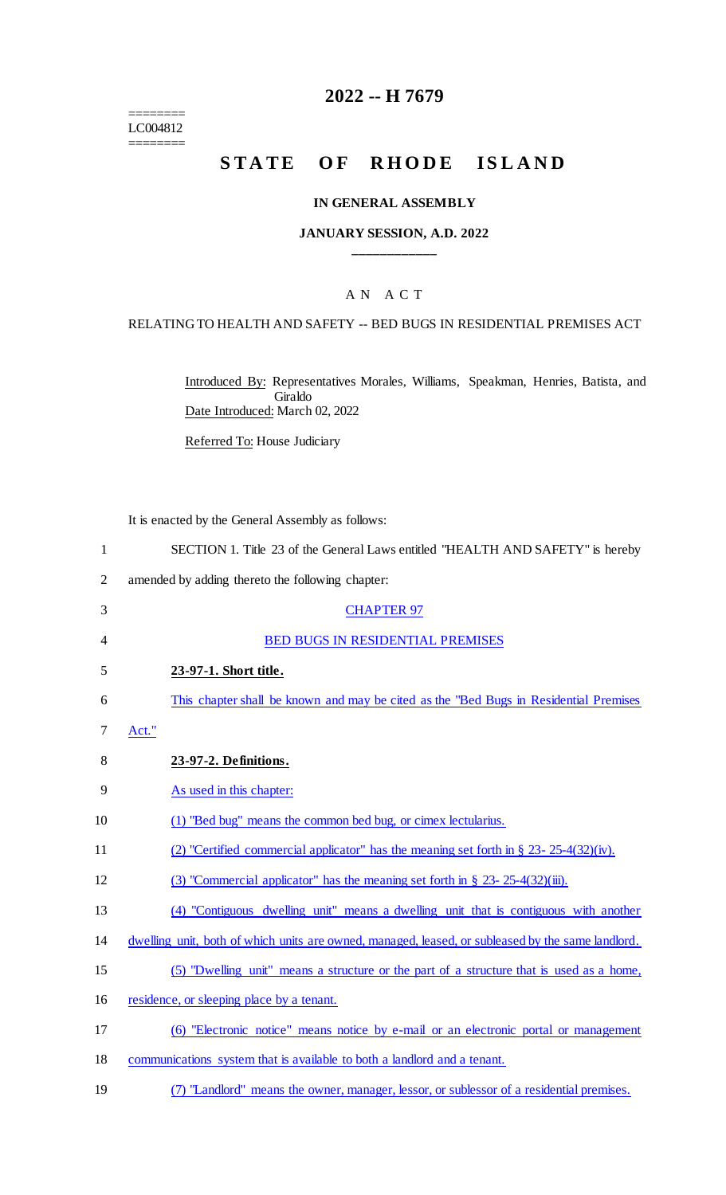======== LC004812 ========

## **2022 -- H 7679**

# **STATE OF RHODE ISLAND**

#### **IN GENERAL ASSEMBLY**

#### **JANUARY SESSION, A.D. 2022 \_\_\_\_\_\_\_\_\_\_\_\_**

## A N A C T

#### RELATING TO HEALTH AND SAFETY -- BED BUGS IN RESIDENTIAL PREMISES ACT

Introduced By: Representatives Morales, Williams, Speakman, Henries, Batista, and Giraldo Date Introduced: March 02, 2022

Referred To: House Judiciary

It is enacted by the General Assembly as follows:

| SECTION 1. Title 23 of the General Laws entitled "HEALTH AND SAFETY" is hereby |  |
|--------------------------------------------------------------------------------|--|
|--------------------------------------------------------------------------------|--|

- 2 amended by adding thereto the following chapter:
- 3 CHAPTER 97 4 BED BUGS IN RESIDENTIAL PREMISES 5 **23-97-1. Short title.** 6 This chapter shall be known and may be cited as the "Bed Bugs in Residential Premises 7 Act." 8 **23-97-2. Definitions.** 9 As used in this chapter: 10 (1) "Bed bug" means the common bed bug, or cimex lectularius. 11 (2) "Certified commercial applicator" has the meaning set forth in § 23- 25-4(32)(iv). 12 (3) "Commercial applicator" has the meaning set forth in § 23- 25-4(32)(iii). 13 (4) "Contiguous dwelling unit" means a dwelling unit that is contiguous with another 14 dwelling unit, both of which units are owned, managed, leased, or subleased by the same landlord. 15 (5) "Dwelling unit" means a structure or the part of a structure that is used as a home, 16 residence, or sleeping place by a tenant. 17 (6) "Electronic notice" means notice by e-mail or an electronic portal or management 18 communications system that is available to both a landlord and a tenant.
- 19 (7) "Landlord" means the owner, manager, lessor, or sublessor of a residential premises.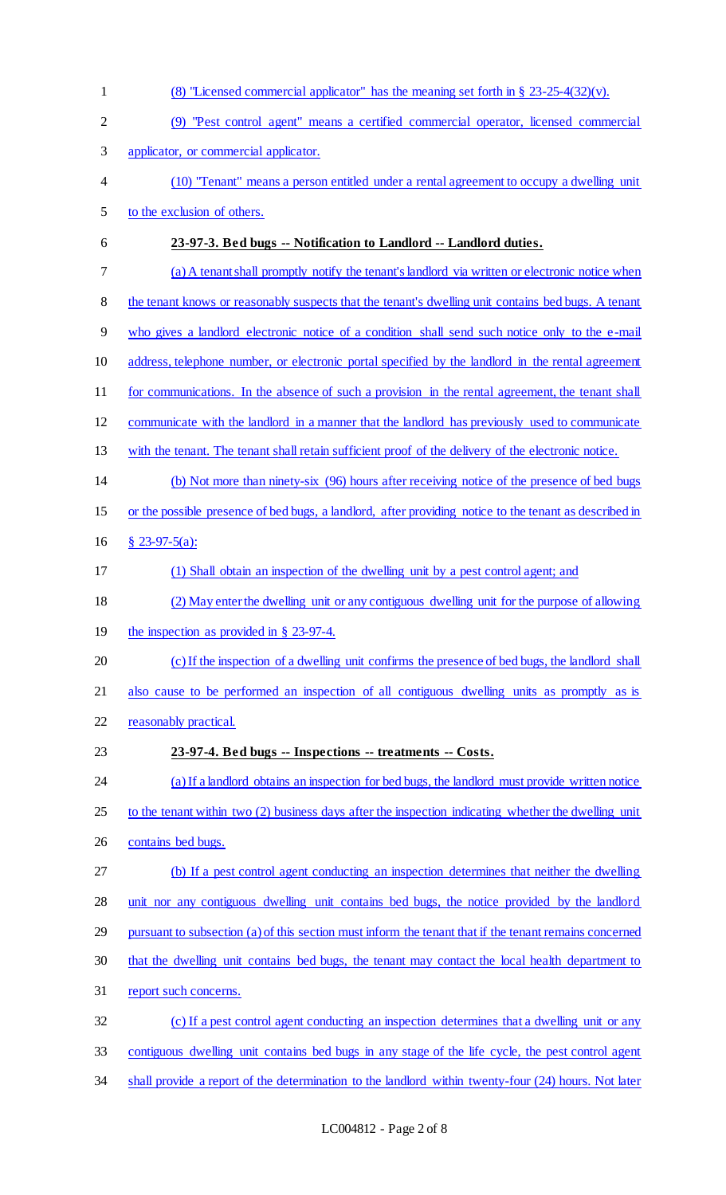(8) "Licensed commercial applicator" has the meaning set forth in § 23-25-4(32)(v). (9) "Pest control agent" means a certified commercial operator, licensed commercial applicator, or commercial applicator. (10) "Tenant" means a person entitled under a rental agreement to occupy a dwelling unit to the exclusion of others. **23-97-3. Bed bugs -- Notification to Landlord -- Landlord duties.** (a) A tenant shall promptly notify the tenant's landlord via written or electronic notice when 8 the tenant knows or reasonably suspects that the tenant's dwelling unit contains bed bugs. A tenant who gives a landlord electronic notice of a condition shall send such notice only to the e-mail address, telephone number, or electronic portal specified by the landlord in the rental agreement 11 for communications. In the absence of such a provision in the rental agreement, the tenant shall communicate with the landlord in a manner that the landlord has previously used to communicate with the tenant. The tenant shall retain sufficient proof of the delivery of the electronic notice. (b) Not more than ninety-six (96) hours after receiving notice of the presence of bed bugs or the possible presence of bed bugs, a landlord, after providing notice to the tenant as described in § 23-97-5(a): (1) Shall obtain an inspection of the dwelling unit by a pest control agent; and (2) May enter the dwelling unit or any contiguous dwelling unit for the purpose of allowing the inspection as provided in § 23-97-4. (c) If the inspection of a dwelling unit confirms the presence of bed bugs, the landlord shall also cause to be performed an inspection of all contiguous dwelling units as promptly as is reasonably practical. **23-97-4. Bed bugs -- Inspections -- treatments -- Costs.** (a) If a landlord obtains an inspection for bed bugs, the landlord must provide written notice to the tenant within two (2) business days after the inspection indicating whether the dwelling unit contains bed bugs. (b) If a pest control agent conducting an inspection determines that neither the dwelling unit nor any contiguous dwelling unit contains bed bugs, the notice provided by the landlord pursuant to subsection (a) of this section must inform the tenant that if the tenant remains concerned that the dwelling unit contains bed bugs, the tenant may contact the local health department to report such concerns. (c) If a pest control agent conducting an inspection determines that a dwelling unit or any contiguous dwelling unit contains bed bugs in any stage of the life cycle, the pest control agent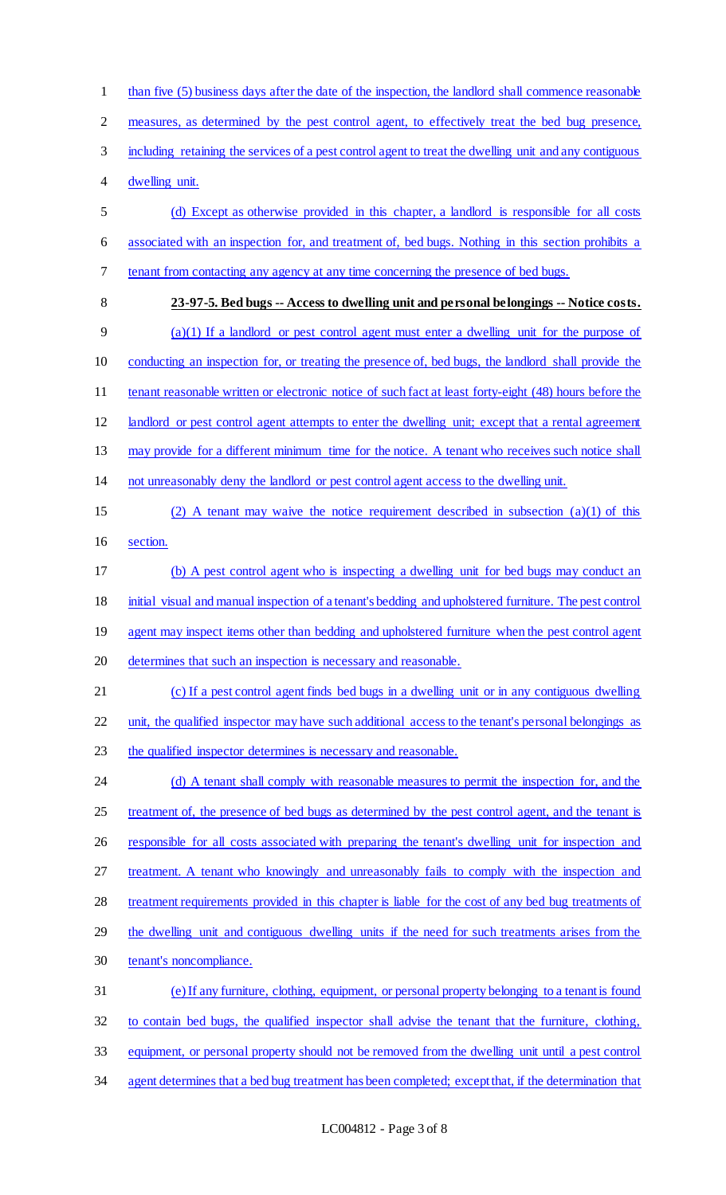1 than five (5) business days after the date of the inspection, the landlord shall commence reasonable measures, as determined by the pest control agent, to effectively treat the bed bug presence, including retaining the services of a pest control agent to treat the dwelling unit and any contiguous dwelling unit. (d) Except as otherwise provided in this chapter, a landlord is responsible for all costs associated with an inspection for, and treatment of, bed bugs. Nothing in this section prohibits a tenant from contacting any agency at any time concerning the presence of bed bugs. **23-97-5. Bed bugs -- Access to dwelling unit and personal belongings -- Notice costs.** (a)(1) If a landlord or pest control agent must enter a dwelling unit for the purpose of conducting an inspection for, or treating the presence of, bed bugs, the landlord shall provide the 11 tenant reasonable written or electronic notice of such fact at least forty-eight (48) hours before the landlord or pest control agent attempts to enter the dwelling unit; except that a rental agreement 13 may provide for a different minimum time for the notice. A tenant who receives such notice shall not unreasonably deny the landlord or pest control agent access to the dwelling unit. (2) A tenant may waive the notice requirement described in subsection (a)(1) of this section. (b) A pest control agent who is inspecting a dwelling unit for bed bugs may conduct an initial visual and manual inspection of a tenant's bedding and upholstered furniture. The pest control 19 agent may inspect items other than bedding and upholstered furniture when the pest control agent determines that such an inspection is necessary and reasonable. (c) If a pest control agent finds bed bugs in a dwelling unit or in any contiguous dwelling unit, the qualified inspector may have such additional access to the tenant's personal belongings as 23 the qualified inspector determines is necessary and reasonable. 24 (d) A tenant shall comply with reasonable measures to permit the inspection for, and the 25 treatment of, the presence of bed bugs as determined by the pest control agent, and the tenant is 26 responsible for all costs associated with preparing the tenant's dwelling unit for inspection and treatment. A tenant who knowingly and unreasonably fails to comply with the inspection and treatment requirements provided in this chapter is liable for the cost of any bed bug treatments of the dwelling unit and contiguous dwelling units if the need for such treatments arises from the tenant's noncompliance. (e) If any furniture, clothing, equipment, or personal property belonging to a tenant is found to contain bed bugs, the qualified inspector shall advise the tenant that the furniture, clothing, equipment, or personal property should not be removed from the dwelling unit until a pest control agent determines that a bed bug treatment has been completed; except that, if the determination that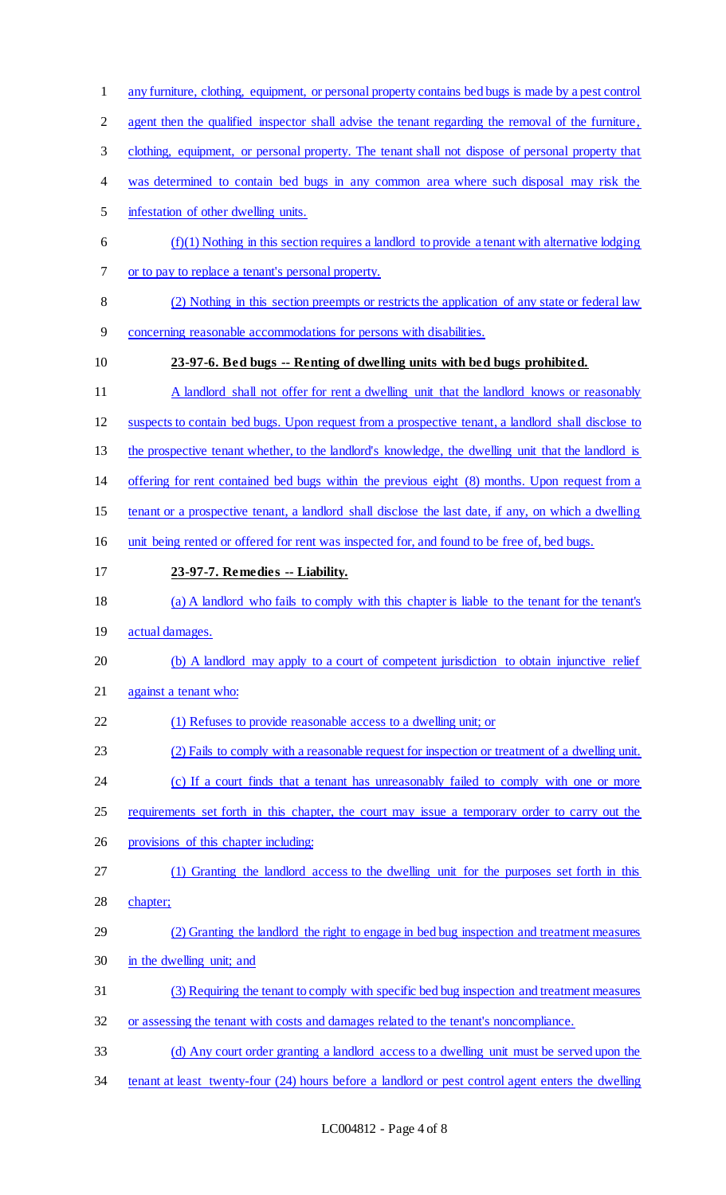- any furniture, clothing, equipment, or personal property contains bed bugs is made by a pest control
- 2 agent then the qualified inspector shall advise the tenant regarding the removal of the furniture,
- clothing, equipment, or personal property. The tenant shall not dispose of personal property that
- 4 was determined to contain bed bugs in any common area where such disposal may risk the
- infestation of other dwelling units.
- $6 \quad$  (f)(1) Nothing in this section requires a landlord to provide a tenant with alternative lodging or to pay to replace a tenant's personal property.
- (2) Nothing in this section preempts or restricts the application of any state or federal law
- concerning reasonable accommodations for persons with disabilities.
- 

## **23-97-6. Bed bugs -- Renting of dwelling units with bed bugs prohibited.**

- 11 A landlord shall not offer for rent a dwelling unit that the landlord knows or reasonably
- suspects to contain bed bugs. Upon request from a prospective tenant, a landlord shall disclose to
- the prospective tenant whether, to the landlord's knowledge, the dwelling unit that the landlord is
- offering for rent contained bed bugs within the previous eight (8) months. Upon request from a
- tenant or a prospective tenant, a landlord shall disclose the last date, if any, on which a dwelling
- unit being rented or offered for rent was inspected for, and found to be free of, bed bugs.
- **23-97-7. Remedies -- Liability.**
- (a) A landlord who fails to comply with this chapter is liable to the tenant for the tenant's
- actual damages.
- (b) A landlord may apply to a court of competent jurisdiction to obtain injunctive relief
- against a tenant who:
- 22 (1) Refuses to provide reasonable access to a dwelling unit; or
- (2) Fails to comply with a reasonable request for inspection or treatment of a dwelling unit.
- 24 (c) If a court finds that a tenant has unreasonably failed to comply with one or more
- requirements set forth in this chapter, the court may issue a temporary order to carry out the
- provisions of this chapter including:
- (1) Granting the landlord access to the dwelling unit for the purposes set forth in this
- chapter;
- (2) Granting the landlord the right to engage in bed bug inspection and treatment measures in the dwelling unit; and
- (3) Requiring the tenant to comply with specific bed bug inspection and treatment measures
- or assessing the tenant with costs and damages related to the tenant's noncompliance.
- (d) Any court order granting a landlord access to a dwelling unit must be served upon the
- tenant at least twenty-four (24) hours before a landlord or pest control agent enters the dwelling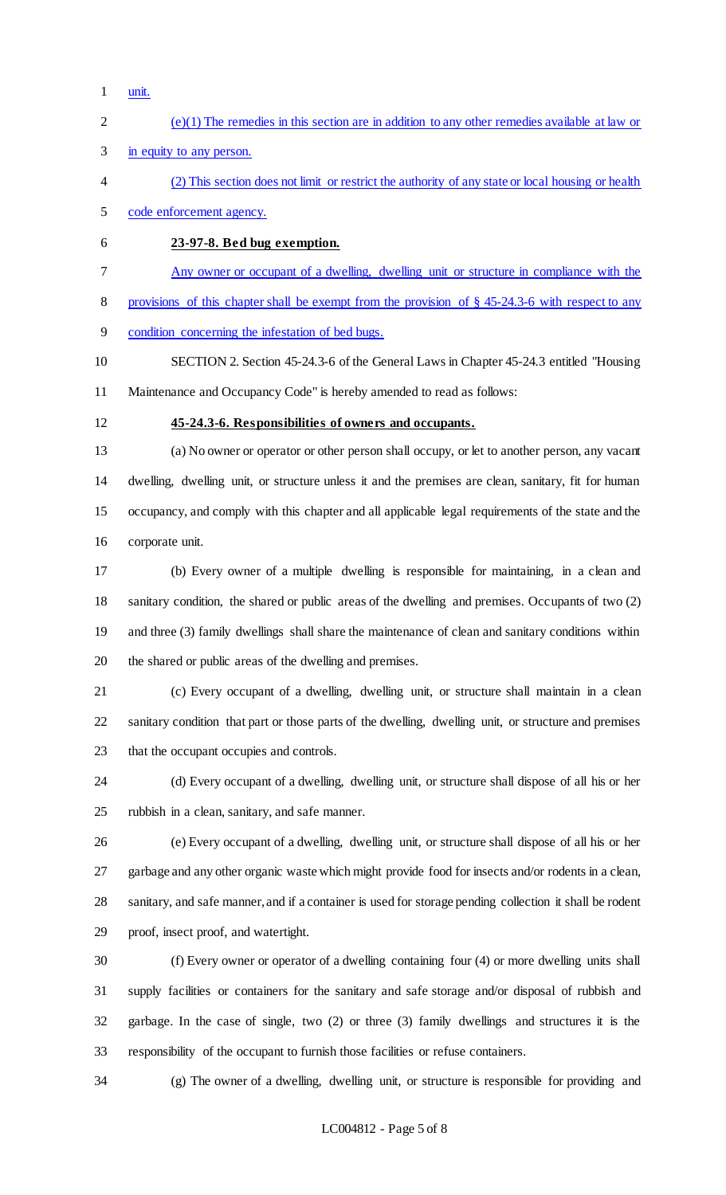- unit.
- (e)(1) The remedies in this section are in addition to any other remedies available at law or
- in equity to any person.
- (2) This section does not limit or restrict the authority of any state or local housing or health
- code enforcement agency.
- **23-97-8. Bed bug exemption.**
- Any owner or occupant of a dwelling, dwelling unit or structure in compliance with the

provisions of this chapter shall be exempt from the provision of § 45-24.3-6 with respect to any

- condition concerning the infestation of bed bugs.
- SECTION 2. Section 45-24.3-6 of the General Laws in Chapter 45-24.3 entitled "Housing Maintenance and Occupancy Code" is hereby amended to read as follows:
- 

#### **45-24.3-6. Responsibilities of owners and occupants.**

 (a) No owner or operator or other person shall occupy, or let to another person, any vacant dwelling, dwelling unit, or structure unless it and the premises are clean, sanitary, fit for human occupancy, and comply with this chapter and all applicable legal requirements of the state and the corporate unit.

 (b) Every owner of a multiple dwelling is responsible for maintaining, in a clean and sanitary condition, the shared or public areas of the dwelling and premises. Occupants of two (2) and three (3) family dwellings shall share the maintenance of clean and sanitary conditions within the shared or public areas of the dwelling and premises.

 (c) Every occupant of a dwelling, dwelling unit, or structure shall maintain in a clean sanitary condition that part or those parts of the dwelling, dwelling unit, or structure and premises that the occupant occupies and controls.

 (d) Every occupant of a dwelling, dwelling unit, or structure shall dispose of all his or her rubbish in a clean, sanitary, and safe manner.

 (e) Every occupant of a dwelling, dwelling unit, or structure shall dispose of all his or her garbage and any other organic waste which might provide food for insects and/or rodents in a clean, sanitary, and safe manner, and if a container is used for storage pending collection it shall be rodent proof, insect proof, and watertight.

 (f) Every owner or operator of a dwelling containing four (4) or more dwelling units shall supply facilities or containers for the sanitary and safe storage and/or disposal of rubbish and garbage. In the case of single, two (2) or three (3) family dwellings and structures it is the responsibility of the occupant to furnish those facilities or refuse containers.

(g) The owner of a dwelling, dwelling unit, or structure is responsible for providing and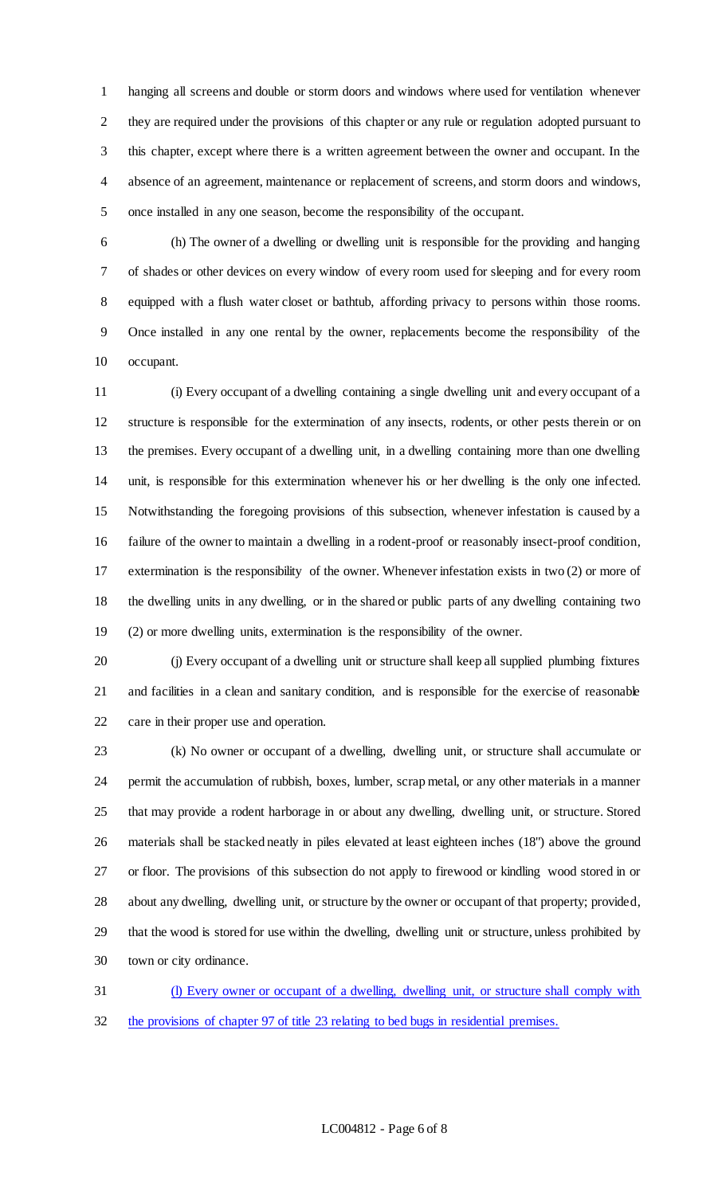hanging all screens and double or storm doors and windows where used for ventilation whenever they are required under the provisions of this chapter or any rule or regulation adopted pursuant to this chapter, except where there is a written agreement between the owner and occupant. In the absence of an agreement, maintenance or replacement of screens, and storm doors and windows, once installed in any one season, become the responsibility of the occupant.

 (h) The owner of a dwelling or dwelling unit is responsible for the providing and hanging of shades or other devices on every window of every room used for sleeping and for every room equipped with a flush water closet or bathtub, affording privacy to persons within those rooms. Once installed in any one rental by the owner, replacements become the responsibility of the occupant.

 (i) Every occupant of a dwelling containing a single dwelling unit and every occupant of a structure is responsible for the extermination of any insects, rodents, or other pests therein or on the premises. Every occupant of a dwelling unit, in a dwelling containing more than one dwelling unit, is responsible for this extermination whenever his or her dwelling is the only one infected. Notwithstanding the foregoing provisions of this subsection, whenever infestation is caused by a failure of the owner to maintain a dwelling in a rodent-proof or reasonably insect-proof condition, extermination is the responsibility of the owner. Whenever infestation exists in two (2) or more of the dwelling units in any dwelling, or in the shared or public parts of any dwelling containing two (2) or more dwelling units, extermination is the responsibility of the owner.

 (j) Every occupant of a dwelling unit or structure shall keep all supplied plumbing fixtures and facilities in a clean and sanitary condition, and is responsible for the exercise of reasonable care in their proper use and operation.

 (k) No owner or occupant of a dwelling, dwelling unit, or structure shall accumulate or permit the accumulation of rubbish, boxes, lumber, scrap metal, or any other materials in a manner that may provide a rodent harborage in or about any dwelling, dwelling unit, or structure. Stored materials shall be stacked neatly in piles elevated at least eighteen inches (18") above the ground or floor. The provisions of this subsection do not apply to firewood or kindling wood stored in or about any dwelling, dwelling unit, or structure by the owner or occupant of that property; provided, that the wood is stored for use within the dwelling, dwelling unit or structure, unless prohibited by town or city ordinance.

 (l) Every owner or occupant of a dwelling, dwelling unit, or structure shall comply with the provisions of chapter 97 of title 23 relating to bed bugs in residential premises.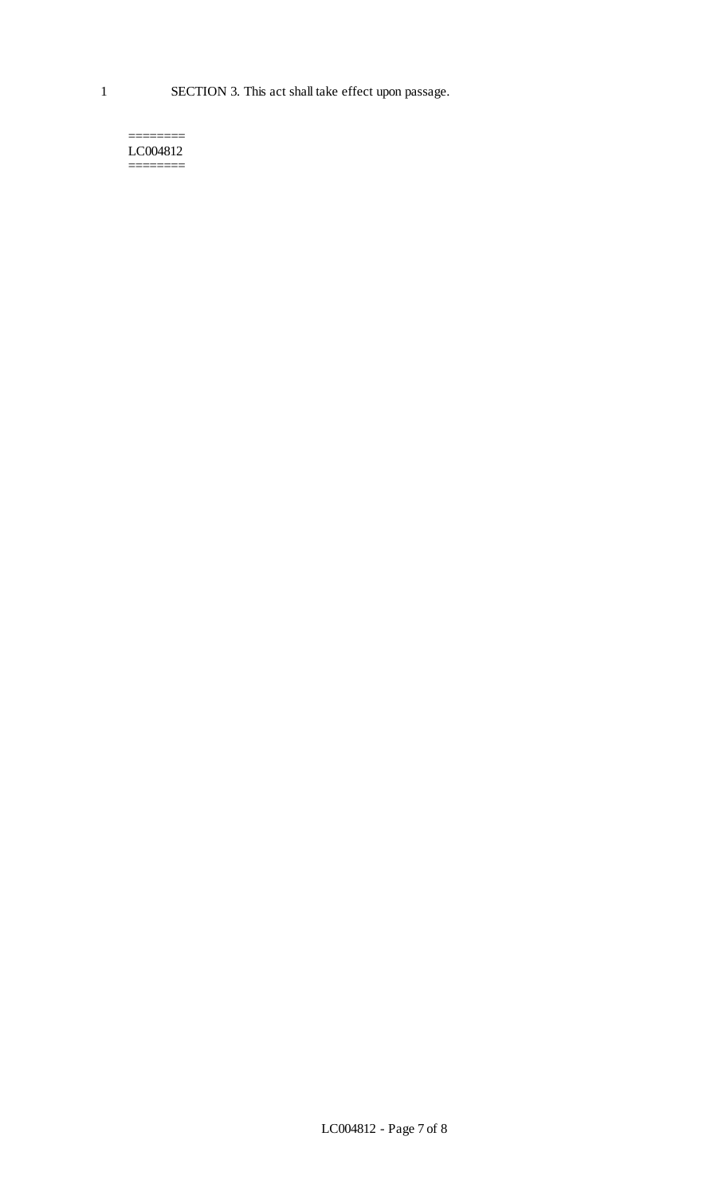======== LC004812 ========